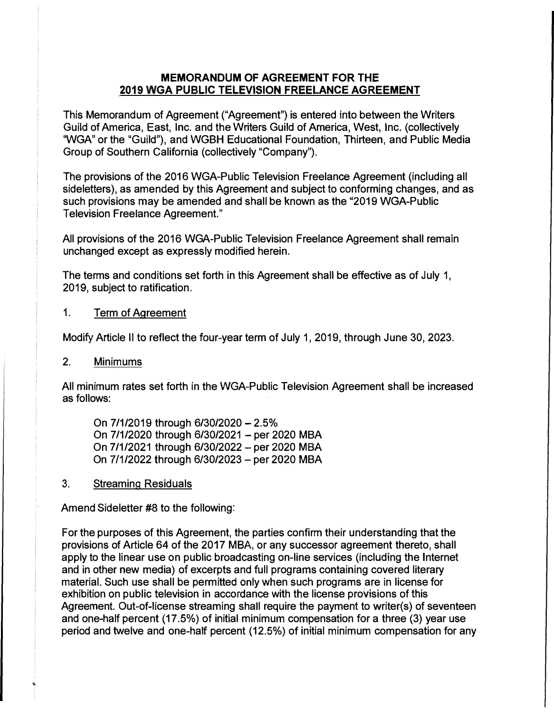## MEMORANDUM OF AGREEMENT FOR THE 2019 WGA PUBLIC TELEVISION FREELANCE AGREEMENT

This Memorandum of Agreement ("Agreement") is entered into between the Writers Guild of America, East, Inc. and the Writers Guild of America, West, Inc. (collectively "WGA" or the "Guild"), and WGBH Educational Foundation, Thirteen, and Public Media Group of Southern California (collectively "Company").

The provisions of the 2016 WGA-Public Television Freelance Agreement (including all sideletters), as amended by this Agreement and subject to conforming changes, and as such provisions may be amended and shall be known as the "2019 WGA-Public Television Freelance Agreement."

All provisions of the 2016 WGA-Public Television Freelance Agreement shall remain unchanged except as expressly modified herein.

The terms and conditions set forth in this Agreement shall be effective as of July 1, 2019, subject to ratification.

## 1. Term of Agreement

Modify Article II to reflect the four-year term of July 1, 2019, through June 30, 2023.

## 2. Minimums

All minimum rates set forth in the WGA-Public Television Agreement shall be increased as follows:

On 7/1/2019 through 6/30/2020 -2.5% On 7/1/2020 through 6/30/2021 - per 2020 MBA On 7/1/2021 through 6/30/2022 - per 2020 MBA On 7/1/2022 through 6/30/2023- per 2020 MBA

3. Streaming Residuals

Amend Sideletter #8 to the following:

For the purposes of this Agreement, the parties confirm their understanding that the provisions of Article 64 of the 2017 MBA, or any successor agreement thereto, shall apply to the linear use on public broadcasting on-line services (including the Internet and in other new media) of excerpts and full programs containing covered literary material. Such use shall be permitted only when such programs are in license for exhibition on public television in accordance with the license provisions of this Agreement. Out-of-license streaming shall require the payment to writer(s) of seventeen and one-half percent (17.5%) of initial minimum compensation for a three (3) year use period and twelve and one-half percent (12.5%) of initial minimum compensation for any